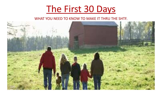# The First 30 Days

#### WHAT YOU NEED TO KNOW TO MAKE IT THRU THE SHTF.

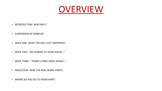

- INTRODUCTION- WHO AM I?
- SUSPENSION OF DISBELIEF
- WEEK ONE- WHAT THE HELL JUST HAPPENED?
- WEEK TWO- "IM COMING TO YOUR HOUSE..."
- WEEK THREE- "THERE'S HARD TIMES AHEAD..."
- WEEK FOUR- NOW THE REAL WORK STARTS.
- WHERE DO YOU GO TO FROM HERE?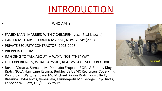# INTRODUCTION

#### WHO AM  $\mathsf{I}$ ?

- FAMILY MAN- MARRIED WITH 7 CHILDREN (yes....7....I know...)
- CAREER MILITARY FORMER MARINE, NOW ARMY (27+ YRS)
- PRIVATE SECURITY CONTRACTOR- 2003-2008
- PREPPER- LIFETIME
- IM GOING TO TALK ABOUT "A WAY"...NOT "THE" WAY.
- LIFE EXPERIENCES, WHATS A "SME", REAL VS FAKE. SELCO BEGOVIC
- Bosnia/Croatia, Somalia, Mt Pinatubo Eruption-ROP, LA Rodney King Riots, NOLA Hurricane Katrina, Berkley Ca USMC Recruiters Code Pink, World Cant Wait, Ferguson Mo Michael Brown Riots, Louisville Ky Breanna Taylor Riots, Venezuela, Minneapolis Mn George Floyd Riots, Kenosha Wi Riots, OIF/OEF x7 tours

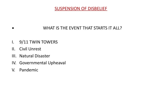

## ▪ WHAT IS THE EVENT THAT STARTS IT ALL?

- I. 9/11 TWIN TOWERS
- II. Civil Unrest
- III. Natural Disaster
- IV. Governmental Upheaval
- V. Pandemic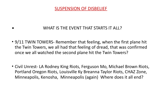

## WHAT IS THE EVENT THAT STARTS IT ALL?

• 9/11 TWIN TOWERS- Remember that feeling, when the first plane hit the Twin Towers, we all had that feeling of dread, that was confirmed once we all watched the second plane hit the Twin Towers?

• Civil Unrest- LA Rodney King Riots, Ferguson Mo, Michael Brown Riots, Portland Oregon Riots, Louisville Ky Breanna Taylor Riots, CHAZ Zone, Minneapolis, Kenosha, Minneapolis (again) Where does it all end?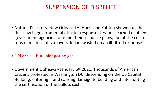# SUSPENSION OF DISBELIEF

- Natural Disasters- New Orleans LA, Hurricane Katrina showed us the first flaw in governmental disaster response. Lessons learned enabled government agencies to refine their response plans, but at the cost of tens of millions of taxpayers dollars wasted on an ill-fitted response.
- "I'd drive... but I aint got no gas...."
- Government Upheaval- January 6<sup>th</sup> 2021. Thousands of American Citizens protested in Washington DC, descending on the US Capital Building, entering it and causing damage to building and interrupting the certification of the ballots cast.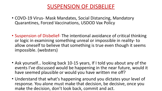# SUSPENSION OF DISBELIEF

- COVD-19 Virus- Mask Mandates, Social Distancing, Mandatory Quarantines, Forced Vaccinations, USDOD Vax Policy
- Suspension of Disbelief- The intentional avoidance of critical thinking or logic in examining something unreal or impossible in reality- to allow oneself to believe that something is true even though it seems impossible. (websters)
- Ask yourself... looking back 10-15 years, If I told you about any of the events I've discussed would be happening in the near future, would it have seemed plausible or would you have written me off?
- Understand that what's happening around you dictates your level of response. You alone must make that decision, be decisive, once you make the decision, don't look back, commit and act.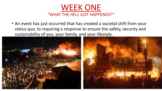

• An event has just occurred that has created a societal shift from your status quo, to requiring a response to ensure the safety, security and sustainability of you, your family, and your lifestyle.

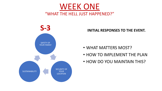



**INITIAL RESPONSES TO THE EVENT.** 

- WHAT MATTERS MOST?
- HOW TO IMPLEMENT THE PLAN
- HOW DO YOU MAINTAIN THIS?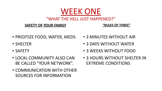## "WHAT THE HELL JUST HAPPENED?"

WEEK ONE

#### **SAFETY OF YOUR FAMILY**

#### **"RULES OF THREE"**

- PRIOITIZE FOOD, WATER, MEDS
- SHELTER
- SAFETY
- LOCAL COMMUNITY ALSO CAN BE CALLED "YOUR NETWORK".
- COMMUNICATION WITH OTHER SOURCES FOR INFORMATION
- 3 MINUTES WITHOUT AIR
- 3 DAYS WITHOUT WATER
- 3 WEEKS WITHOUT FOOD
- 3 HOURS WITHOUT SHELTER IN EXTREME CONDITIONS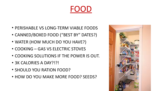# FOOD

- PERISHABLE VS LONG-TERM VIABLE FOODS
- CANNED/BOXED FOOD ("BEST BY" DATES?)
- WATER (HOW MUCH DO YOU HAVE?)
- COOKING GAS VS ELECTRIC STOVES
- COOKING SOLUTIONS IF THE POWER IS OUT.
- 3K CALORIES A DAY?!?!
- SHOULD YOU RATION FOOD?
- HOW DO YOU MAKE MORE FOOD? SEEDS?

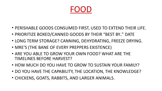# FOOD

- PERISHABLE GOODS CONSUMED FIRST, USED TO EXTEND THEIR LIFE.
- PRIORITIZE BOXED/CANNED GOODS BY THEIR "BEST BY.." DATE
- LONG TERM STORAGE? CANNING, DEHYDRATING, FREEZE DRYING.
- MRE'S (THE BANE OF EVERY PREPPERS EXISTENCE)
- ARE YOU ABLE TO GROW YOUR OWN FOOD? WHAT ARE THE TIMELINES BEFORE HARVEST?
- HOW MUCH DO YOU HAVE TO GROW TO SUSTAIN YOUR FAMILY?
- DO YOU HAVE THE CAPABILITY, THE LOCATION, THE KNOWLEDGE?
- CHICKENS, GOATS, RABBITS, AND LARGER ANIMALS.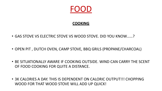

#### **COOKING**

- GAS STOVE VS ELECTRIC STOVE VS WOOD STOVE. DID YOU KNOW......?
- OPEN PIT, DUTCH OVEN, CAMP STOVE, BBQ GRILS (PROPANE/CHARCOAL)
- BE SITUATIONALLY AWARE IF COOKING OUTSIDE. WIND CAN CARRY THE SCENT OF FOOD COOKING FOR QUITE A DISTANCE.
- 3K CALORIES A DAY. THIS IS DEPENDENT ON CALORIC OUTPUT!!! CHOPPING WOOD FOR THAT WOOD STOVE WILL ADD UP QUICK!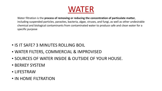

Water filtration is the process of removing or reducing the concentration of particulate matter, including suspended particles, parasites, bacteria, algae, viruses, and fungi, as well as other undesirable chemical and biological contaminants from contaminated water to produce safe and clean water for a specific purpose

- IS IT SAFE? 3 MINUTES ROLLING BOIL
- WATER FILTERS, COMMERCIAL & IMPROVISED
- SOURCES OF WATER INSIDE & OUTSIDE OF YOUR HOUSE.
- BERKEY SYSTEM
- LIFESTRAW
- IN HOME FILTRATION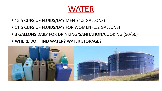# WATER

- 15.5 CUPS OF FLUIDS/DAY MEN (1.5 GALLONS)
- 11.5 CUPS OF FLUIDS/DAY FOR WOMEN (1.2 GALLONS)
- 3 GALLONS DAILY FOR DRINKING/SANITATION/COOKING (50/50)
- WHERE DO I FIND WATER? WATER STORAGE?

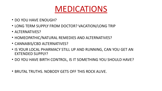

- DO YOU HAVE FNOUGH?
- LONG TERM SUPPLY FROM DOCTOR? VACATION/LONG TRIP
- ALTERNATIVES?
- HOMEOPATHIC/NATURAL REMEDIES AND ALTERNATIVES?
- CANNABIS/CBD ALTERNATIVES?
- IS YOUR LOCAL PHARMACY STILL UP AND RUNNING, CAN YOU GET AN EXTENDED SUPPLY?
- DO YOU HAVE BIRTH CONTROL, IS IT SOMETHING YOU SHOULD HAVE?
- BRUTAL TRUTHS. NOBODY GETS OFF THIS ROCK ALIVE.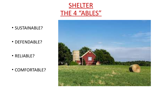



- SUSTAINABLE?
- DEFENDABLE?

• RELIABLE?

• COMFORTABLE?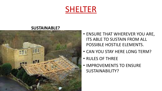

#### **SUSTAINABLE?**



- ENSURE THAT WHEREVER YOU ARE, **ITS ABLE TO SUSTAIN FROM ALL** POSSIBLE HOSTILE ELEMENTS.
- CAN YOU STAY HERE LONG TERM?
- RULES OF THREE
- IMPROVEMENTS TO ENSURE SUSTAINABILITY?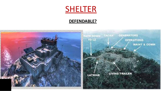

### **DEFENDABLE?**

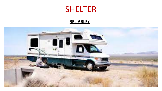# SHELTER

### **RELIABLE?**

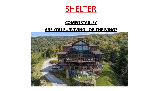

### **COMFORTABLE?**

#### **ARE YOU SURVIVING...OR THRIVING?**

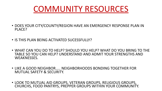

- DOES YOUR CITY/COUNTY/REGION HAVE AN EMERGENCY RESPONSE PLAN IN PLACE?
- IS THIS PLAN BEING ACTIVATED SUCESSFULLY?
- WHAT CAN YOU DO TO HELP? SHOULD YOU HELP? WHAT DO YOU BRING TO THE TABLE SO YOU CAN HELP? UNDERSTAND AND ADMIT YOUR STRENGTHS AND WEAKNESSES.
- LIKE A GOOD NEIGHBOR..... NEIGHBORHOODS BONDING TOGETHER FOR MUTUAL SAFETY & SECURITY.
- LOOK TO MUTUAL AID GROUPS, VETERAN GROUPS, RELIGIOUS GROUPS, CHURCHS, FOOD PANTRYS, PREPPER GROUPS WITHIN YOUR COMMUNITY.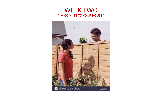

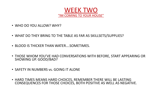

- WHO DO YOU ALLOW? WHY?
- WHAT DO THEY BRING TO THE TABLE AS FAR AS SKILLSETS/SUPPLIES?
- BLOOD IS THICKER THAN WATER....SOMETIMES.
- THOSE WHOM YOU'VE HAD CONVERSATIONS WITH BEFORE, START APPEARING OR SHOWING UP. GOOD/BAD?
- SAFETY IN NUMBERS vs. GOING IT ALONE
- HARD TIMES MEANS HARD CHOICES, REMEMBER THERE WILL BE LASTING CONSEQUENCES FOR THOSE CHOICES, BOTH POSITIVE AS WELL AS NEGATIVE.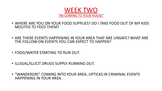

- WHERE ARE YOU ON YOUR FOOD SUPPLIES? DO I TAKE FOOD OUT OF MY KIDS MOUTHS TO FEED THEM?
- ARE THERE EVENTS HAPPENING IN YOUR AREA THAT ARE UNSAFE? WHAT ARE THE FOLLOW-ON EVENTS YOU CAN EXPECT TO HAPPEN?
- FOOD/WATER STARTING TO RUN OUT.
- ILLEGAL/ILLICIT DRUGS SUPPLY RUNNING OUT.
- "WANDERERS" COMING INTO YOUR AREA, UPTICKS IN CRIMINAL EVENTS HAPPENING IN YOUR AREA.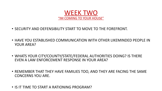

- SECURITY AND DEFENSIBILITY START TO MOVE TO THE FOREFRONT.
- HAVE YOU ESTABLISHED COMMUNICATION WITH OTHER LIKEMINDED PEOPLE IN YOUR AREA?
- WHATS YOUR CITY/COUNTY/STATE/FEDERAL AUTHORITIES DOING? IS THERE EVEN A LAW ENFORCEMENT RESPONSE IN YOUR AREA?
- REMEMBER THAT THEY HAVE FAMILIES TOO, AND THEY ARE FACING THE SAME CONCERNS YOU ARE.
- IS IT TIME TO START A RATIONING PROGRAM?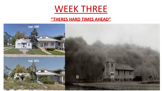# WEEK THREE

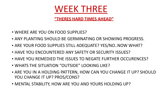

- WHERE ARE YOU ON FOOD SUPPLIES?
- ANY PLANTING SHOULD BE GERMINATING OR SHOWING PROGRESS.
- ARE YOUR FOOD SUPPLIES STILL ADEQUATE? YES/NO..NOW WHAT?
- HAVE YOU ENCOUNTERED ANY SAFETY OR SECURITY ISSUES?
- HAVE YOU REMEDIED THE ISSUES TO NEGATE FURTHER OCCURENCES?
- WHATS THE SITUATION "OUTSIDE" LOOKING LIKE?
- ARE YOU IN A HOLDING PATTERN, HOW CAN YOU CHANGE IT UP? SHOULD YOU CHANGE IT UP? PROS/CONS?
- MENTAL STABILITY, HOW ARE YOU AND YOURS HOLDING UP?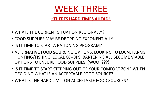

- WHATS THE CURRENT SITUATION REGIONALLY?
- FOOD SUPPLIES MAY BE DROPPING EXPONENTIALLY.
- IS IT TIME TO START A RATIONING PROGRAM?
- ALTERNATIVE FOOD SOURCING OPTIONS. LOOKING TO LOCAL FARMS, HUNTING/FISHING, LOCAL CO-OPS, BARTERING ALL BECOME VIABLE OPTIONS TO ENSURE FOOD SUPPLIES. (WOOF???)
- IS IT TIME TO START STEPPING OUT OF YOUR COMFORT ZONE WHEN DECIDING WHAT IS AN ACCEPTABLE FOOD SOURCE?
- WHAT IS THE HARD LIMIT ON ACCEPTABLE FOOD SOURCES?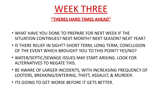

- WHAT HAVE YOU DONE TO PREPARE FOR NEXT WEEK IF THE SITUATION CONTINUES? NEXT MONTH? NEXT SEASON? NEXT YEAR?
- IS THERE RELIEF IN SIGHT? SHORT TERM, LONG TERM, CONCLUSION OF THE EVENT WHICH BROUGHT YOU TO THIS POINT? YES/NO?
- WATER/SEPTIC/SEWAGE ISSUES MAY START ARISING. LOOK FOR ALTERNATIVES TO NEGATE THIS.
- BE AWARE OF LARGER INCIDENTS, WITH INCREASING FREQUENCY OF LOOTERS, BREAKING/ENTERING, THEFT, ASSAULT, & MURDER.
- ITS GOING TO GET WORSE BEFORE IT GETS BETTER.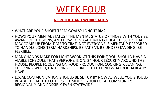

**NOW THE HARD WORK STARTS** 

- WHAT ARE YOUR SHORT TERM GOALS? LONG TERM?
- HOWS YOUR MENTAL STATUS? THE MENTAL STATUS OF THOSE WITH YOU? BE AWARE OF THE SIGNS, AND HOW TO NEGATE MENTAL HEALTH ISSUES THAT MAY COME UP FROM TIME TO TIME. NOT EVERYONE IS MENTALLY PREPARED TO HANDLE LONG TERM HARDSHIPS. BE PATIENT, BE UNDERSTANDING, BE FLEXIBLE.
- MANY HANDS MAKE FOR LIGHT WORK. AT THIS POINT, YOU SHOULD HAVE A VIABLE SCHEDULE THAT EVERYONE IS ON. 24 HOUR SECURITY AROUND THE HOUSE, PEOPLE FOCUSING ON FOOD PRODUCTION, COOKING, CLEANING, CHOPPING WOOD, GATHERING RESOURCES TO EXTEND WHAT YOU ALREADY HAVE.
- LOCAL COMMUNICATION SHOULD BE SET UP BY NOW AS WELL. YOU SHOULD BE ABLE TO TALK TO OTHERS OUTSIDE OF YOUR LOCAL COMMUNITY, REGIONALLY, AND POSSIBLY EVEN STATEWIDE.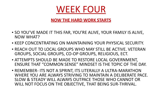

### **NOW THE HARD WORK STARTS**

- SO YOU'VE MADE IT THIS FAR, YOU'RE ALIVE, YOUR FAMILY IS ALIVE, NOW WHAT?
- KEEP CONCENTRATING ON MAINTAINING YOUR PHYSICAL SECURITY.
- REACH OUT TO LOCAL GROUPS WHO MAY STILL BE ACTIVE. VETERAN GROUPS, SOCIAL GROUPS, CO-OP GROUPS, RELIGIOUS, ECT.
- ATTEMPTS SHOULD BE MADE TO RESTORE LOCAL GOVERNMENT, ENSURE THAT "COMMON SENSE" MINDSET IS THE TOPIC OF THE DAY.
- REMEMBER- ITS NOT A SPRINT, ITS LITERALLY A ULTRA-MARATHON WHERE YOU ARE ALWAYS STRIVING TO MAINTAIN A DELIBERATE PACE. SLOW & STEADY WILL ALWAYS OUTPACE THOSE WHO CANNOT OR WILL NOT FOCUS ON THE OBJECTIVE, THAT BEING SUR-THRIVAL.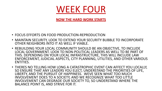

#### **NOW THE HARD WORK STARTS**

- FOCUS EFFORTS ON FOOD PRODUCTION-REPRODUCTION
- MAINTAIN SECURITY, LOOK TO EXTEND YOUR SECURITY BUBBLE TO INCORPORATE OTHER NEIGHBORS INTO IT AS WELL IF VIABLE.
- REBUILDING YOUR LOCAL COMMUNITY SHOULD BE AN OBJECTIVE, TO INCLUDE LOCAL GOVERNMENT. LOOK TO NON-POLITICAL LEADERS AS WELL TO BE PART OF THIS. DEPENDING ON YOUR LOCAL INFRASTRUCTURE, THIS WILL INCLUDE LAW ENFORCEMENT, JUDICIAL ASPECTS, CITY PLANNING, UTILITIES, AND OTHER VARIOUS ENTITIES.
- THERES NO TELLING HOW LONG A CATASTROPHIC EVENT CAN AFFECT YOU LOCALLY, SO ENSURE THAT ANY LEADERS YOU ELECT, UNDERSTAND THE PRIORITIES OF LIFE, LIBERTY, AND THE PURSUIT OF HAPPINESS. WEVE SEEN WHAT TOO MUCH INVOLVEMENT DOES TO A SOCIETY, AND WE RECOGNIZE WHAT TOO LITTLE INVOLVEMENT CAN DEGRADE OUR SOCIETY TO, SO UNDERSTAND WHERE THE BALANCE POINT IS, AND STRIVE FOR IT.